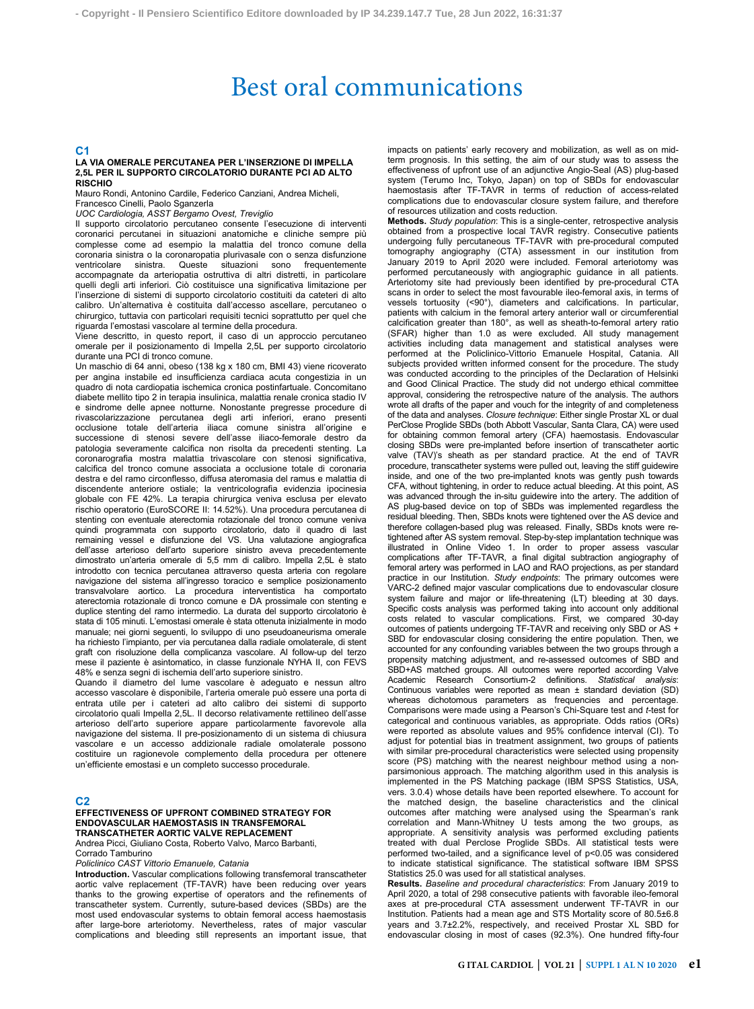# Best oral communications

# **C1**

#### **LA VIA OMERALE PERCUTANEA PER L'INSERZIONE DI IMPELLA 2,5L PER IL SUPPORTO CIRCOLATORIO DURANTE PCI AD ALTO RISCHIO**

Mauro Rondi, Antonino Cardile, Federico Canziani, Andrea Micheli, Francesco Cinelli, Paolo Sganzerla

*UOC Cardiologia, ASST Bergamo Ovest, Treviglio*

Il supporto circolatorio percutaneo consente l'esecuzione di interventi

coronarici percutanei in situazioni anatomiche e cliniche sempre più complesse come ad esempio la malattia del tronco comune della coronaria sinistra o la coronaropatia plurivasale con o senza disfunzione ventricolare sinistra. Queste situazioni sono frequentemente accompagnate da arteriopatia ostruttiva di altri distretti, in particolare quelli degli arti inferiori. Ciò costituisce una significativa limitazione per l'inserzione di sistemi di supporto circolatorio costituiti da cateteri di alto calibro. Un'alternativa è costituita dall'accesso ascellare, percutaneo o chirurgico, tuttavia con particolari requisiti tecnici soprattutto per quel che riguarda l'emostasi vascolare al termine della procedura.

Viene descritto, in questo report, il caso di un approccio percutaneo omerale per il posizionamento di Impella 2,5L per supporto circolatorio durante una PCI di tronco comune.

Un maschio di 64 anni, obeso (138 kg x 180 cm, BMI 43) viene ricoverato per angina instabile ed insufficienza cardiaca acuta congestizia in un quadro di nota cardiopatia ischemica cronica postinfartuale. Concomitano diabete mellito tipo 2 in terapia insulinica, malattia renale cronica stadio IV e sindrome delle apnee notturne. Nonostante pregresse procedure di rivascolarizzazione percutanea degli arti inferiori, erano presenti occlusione totale dell'arteria iliaca comune sinistra all'origine e successione di stenosi severe dell'asse iliaco-femorale destro da patologia severamente calcifica non risolta da precedenti stenting. La coronarografia mostra malattia trivascolare con stenosi significativa, calcifica del tronco comune associata a occlusione totale di coronaria destra e del ramo circonflesso, diffusa ateromasia del ramus e malattia di discendente anteriore ostiale; la ventricolografia evidenzia ipocinesia globale con FE 42%. La terapia chirurgica veniva esclusa per elevato rischio operatorio (EuroSCORE II: 14.52%). Una procedura percutanea di stenting con eventuale aterectomia rotazionale del tronco comune veniva quindi programmata con supporto circolatorio, dato il quadro di last remaining vessel e disfunzione del VS. Una valutazione angiografica dell'asse arterioso dell'arto superiore sinistro aveva precedentemente dimostrato un'arteria omerale di 5,5 mm di calibro. Impella 2,5L è stato introdotto con tecnica percutanea attraverso questa arteria con regolare navigazione del sistema all'ingresso toracico e semplice posizionamento transvalvolare aortico. La procedura interventistica ha comportato aterectomia rotazionale di tronco comune e DA prossimale con stenting e duplice stenting del ramo intermedio. La durata del supporto circolatorio è stata di 105 minuti. L'emostasi omerale è stata ottenuta inizialmente in modo manuale; nei giorni seguenti, lo sviluppo di uno pseudoaneurisma omerale ha richiesto l'impianto, per via percutanea dalla radiale omolaterale, di stent graft con risoluzione della complicanza vascolare. Al follow-up del terzo mese il paziente è asintomatico, in classe funzionale NYHA II, con FEVS 48% e senza segni di ischemia dell'arto superiore sinistro.

Quando il diametro del lume vascolare è adeguato e nessun altro accesso vascolare è disponibile, l'arteria omerale può essere una porta di entrata utile per i cateteri ad alto calibro dei sistemi di supporto circolatorio quali Impella 2,5L. Il decorso relativamente rettilineo dell'asse arterioso dell'arto superiore appare particolarmente favorevole alla navigazione del sistema. Il pre-posizionamento di un sistema di chiusura vascolare e un accesso addizionale radiale omolaterale possono costituire un ragionevole complemento della procedura per ottenere un'efficiente emostasi e un completo successo procedurale.

# **C2**

### **EFFECTIVENESS OF UPFRONT COMBINED STRATEGY FOR ENDOVASCULAR HAEMOSTASIS IN TRANSFEMORAL TRANSCATHETER AORTIC VALVE REPLACEMENT**

Andrea Picci, Giuliano Costa, Roberto Valvo, Marco Barbanti, Corrado Tamburino

*Policlinico CAST Vittorio Emanuele, Catania*

**Introduction.** Vascular complications following transfemoral transcatheter aortic valve replacement (TF-TAVR) have been reducing over years thanks to the growing expertise of operators and the refinements of transcatheter system. Currently, suture-based devices (SBDs) are the most used endovascular systems to obtain femoral access haemostasis after large-bore arteriotomy. Nevertheless, rates of major vascular complications and bleeding still represents an important issue, that impacts on patients' early recovery and mobilization, as well as on midterm prognosis. In this setting, the aim of our study was to assess the effectiveness of upfront use of an adjunctive Angio-Seal (AS) plug-based system (Terumo Inc, Tokyo, Japan) on top of SBDs for endovascular haemostasis after TF-TAVR in terms of reduction of access-related complications due to endovascular closure system failure, and therefore of resources utilization and costs reduction.

**Methods.** *Study population*: This is a single-center, retrospective analysis obtained from a prospective local TAVR registry. Consecutive patients undergoing fully percutaneous TF-TAVR with pre-procedural computed tomography angiography (CTA) assessment in our institution from January 2019 to April 2020 were included. Femoral arteriotomy was performed percutaneously with angiographic guidance in all patients. Arteriotomy site had previously been identified by pre-procedural CTA scans in order to select the most favourable ileo-femoral axis, in terms of vessels tortuosity (<90°), diameters and calcifications. In particular, patients with calcium in the femoral artery anterior wall or circumferential calcification greater than 180°, as well as sheath-to-femoral artery ratio (SFAR) higher than 1.0 as were excluded. All study management activities including data management and statistical analyses were performed at the Policlinico-Vittorio Emanuele Hospital, Catania. All subjects provided written informed consent for the procedure. The study was conducted according to the principles of the Declaration of Helsinki and Good Clinical Practice. The study did not undergo ethical committee approval, considering the retrospective nature of the analysis. The authors wrote all drafts of the paper and vouch for the integrity of and completeness of the data and analyses. *Closure technique*: Either single Prostar XL or dual PerClose Proglide SBDs (both Abbott Vascular, Santa Clara, CA) were used for obtaining common femoral artery (CFA) haemostasis. Endovascular closing SBDs were pre-implanted before insertion of transcatheter aortic valve (TAV)'s sheath as per standard practice. At the end of TAVR procedure, transcatheter systems were pulled out, leaving the stiff guidewire inside, and one of the two pre-implanted knots was gently push towards CFA, without tightening, in order to reduce actual bleeding. At this point, AS was advanced through the in-situ guidewire into the artery. The addition of AS plug-based device on top of SBDs was implemented regardless the residual bleeding. Then, SBDs knots were tightened over the AS device and therefore collagen-based plug was released. Finally, SBDs knots were retightened after AS system removal. Step-by-step implantation technique was illustrated in Online Video 1. In order to proper assess vascular complications after TF-TAVR, a final digital subtraction angiography of femoral artery was performed in LAO and RAO projections, as per standard practice in our Institution. *Study endpoints*: The primary outcomes were VARC-2 defined major vascular complications due to endovascular closure system failure and major or life-threatening (LT) bleeding at 30 days. Specific costs analysis was performed taking into account only additional costs related to vascular complications. First, we compared 30-day outcomes of patients undergoing TF-TAVR and receiving only SBD or AS + SBD for endovascular closing considering the entire population. Then, we accounted for any confounding variables between the two groups through a propensity matching adjustment, and re-assessed outcomes of SBD and SBD+AS matched groups. All outcomes were reported according Valve Academic Research Consortium-2 definitions. *Statistical analysis*: Continuous variables were reported as mean ± standard deviation (SD) whereas dichotomous parameters as frequencies and percentage. Comparisons were made using a Pearson's Chi-Square test and *t*-test for categorical and continuous variables, as appropriate. Odds ratios (ORs) were reported as absolute values and 95% confidence interval (CI). To adjust for potential bias in treatment assignment, two groups of patients with similar pre-procedural characteristics were selected using propensity score (PS) matching with the nearest neighbour method using a nonparsimonious approach. The matching algorithm used in this analysis is implemented in the PS Matching package (IBM SPSS Statistics, USA, vers. 3.0.4) whose details have been reported elsewhere. To account for the matched design, the baseline characteristics and the clinical outcomes after matching were analysed using the Spearman's rank correlation and Mann-Whitney U tests among the two groups, as appropriate. A sensitivity analysis was performed excluding patients treated with dual Perclose Proglide SBDs. All statistical tests were performed two-tailed, and a significance level of p<0.05 was considered to indicate statistical significance. The statistical software IBM SPSS Statistics 25.0 was used for all statistical analyses.

**Results.** *Baseline and procedural characteristics*: From January 2019 to April 2020, a total of 298 consecutive patients with favorable ileo-femoral axes at pre-procedural CTA assessment underwent TF-TAVR in our Institution. Patients had a mean age and STS Mortality score of 80.5±6.8 years and 3.7±2.2%, respectively, and received Prostar XL SBD for endovascular closing in most of cases (92.3%). One hundred fifty-four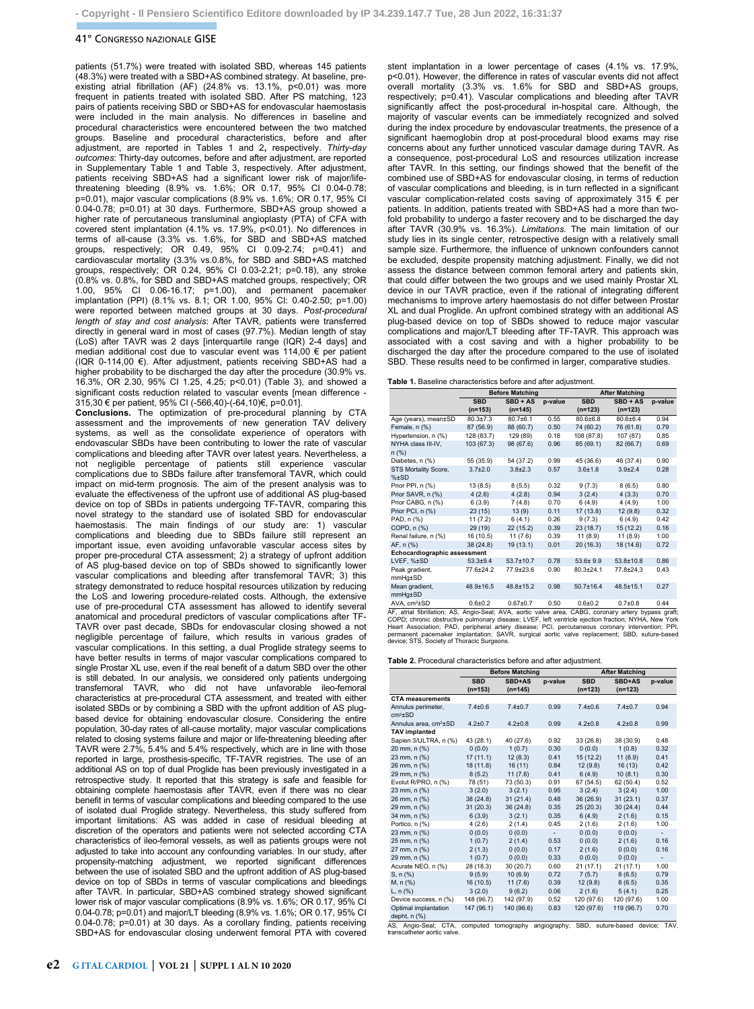## 41° CONGRESSO NAZIONALE GISE

patients (51.7%) were treated with isolated SBD, whereas 145 patients (48.3%) were treated with a SBD+AS combined strategy. At baseline, preexisting atrial fibrillation (AF) (24.8% vs. 13.1%, p<0.01) was more frequent in patients treated with isolated SBD. After PS matching, 123 pairs of patients receiving SBD or SBD+AS for endovascular haemostasis were included in the main analysis. No differences in baseline and procedural characteristics were encountered between the two matched groups. Baseline and procedural characteristics, before and after adjustment, are reported in Tables 1 and 2**,** respectively. *Thirty-day outcomes*: Thirty-day outcomes, before and after adjustment, are reported in Supplementary Table 1 and Table 3, respectively. After adjustment, patients receiving SBD+AS had a significant lower risk of major/lifethreatening bleeding (8.9% vs. 1.6%; OR 0.17, 95% CI 0.04-0.78; p=0.01), major vascular complications (8.9% vs. 1.6%; OR 0.17, 95% CI 0.04-0.78; p=0.01) at 30 days. Furthermore, SBD+AS group showed a higher rate of percutaneous transluminal angioplasty (PTA) of CFA with covered stent implantation (4.1% vs. 17.9%, p<0.01). No differences in terms of all-cause (3.3% vs. 1.6%, for SBD and SBD+AS matched groups, respectively; OR 0.49, 95% CI 0.09-2.74; p=0.41) and cardiovascular mortality (3.3% vs.0.8%, for SBD and SBD+AS matched groups, respectively; OR 0.24, 95% CI 0.03-2.21; p=0.18), any stroke (0.8% vs. 0.8%, for SBD and SBD+AS matched groups, respectively; OR 1.00, 95% CI 0.06-16.17; p=1.00), and permanent pacemaker implantation (PPI) (8.1% vs. 8.1; OR 1.00, 95% CI: 0.40-2.50; p=1.00) were reported between matched groups at 30 days. *Post-procedural length of stay and cost analysis*: After TAVR, patients were transferred directly in general ward in most of cases (97.7%). Median length of stay (LoS) after TAVR was 2 days [interquartile range (IQR) 2-4 days] and median additional cost due to vascular event was 114,00 € per patient (IQR 0-114,00 €). After adjustment, patients receiving SBD+AS had a higher probability to be discharged the day after the procedure (30.9% vs. 16.3%, OR 2.30, 95% CI 1.25, 4.25; p<0.01) (Table 3), and showed a significant costs reduction related to vascular events [mean difference - 315,30 € per patient, 95% CI (-566,40)-(-64,10)€, p=0.01].

**Conclusions.** The optimization of pre-procedural planning by CTA assessment and the improvements of new generation TAV delivery systems, as well as the consolidate experience of operators with endovascular SBDs have been contributing to lower the rate of vascular complications and bleeding after TAVR over latest years. Nevertheless, a not negligible percentage of patients still experience vascular complications due to SBDs failure after transfemoral TAVR, which could impact on mid-term prognosis. The aim of the present analysis was to evaluate the effectiveness of the upfront use of additional AS plug-based device on top of SBDs in patients undergoing TF-TAVR, comparing this novel strategy to the standard use of isolated SBD for endovascular haemostasis. The main findings of our study are: 1) vascular complications and bleeding due to SBDs failure still represent an important issue, even avoiding unfavorable vascular access sites by proper pre-procedural CTA assessment; 2) a strategy of upfront addition of AS plug-based device on top of SBDs showed to significantly lower vascular complications and bleeding after transfemoral TAVR; 3) this strategy demonstrated to reduce hospital resources utilization by reducing the LoS and lowering procedure-related costs. Although, the extensive use of pre-procedural CTA assessment has allowed to identify several anatomical and procedural predictors of vascular complications after TF-TAVR over past decade, SBDs for endovascular closing showed a not negligible percentage of failure, which results in various grades of vascular complications. In this setting, a dual Proglide strategy seems to have better results in terms of major vascular complications compared to single Prostar XL use, even if the real benefit of a datum SBD over the other is still debated. In our analysis, we considered only patients undergoing transfemoral TAVR, who did not have unfavorable ileo-femoral characteristics at pre-procedural CTA assessment, and treated with either isolated SBDs or by combining a SBD with the upfront addition of AS plugbased device for obtaining endovascular closure. Considering the entire population, 30-day rates of all-cause mortality, major vascular complications related to closing systems failure and major or life-threatening bleeding after TAVR were 2.7%, 5.4% and 5.4% respectively, which are in line with those reported in large, prosthesis-specific, TF-TAVR registries. The use of an additional AS on top of dual Proglide has been previously investigated in a retrospective study. It reported that this strategy is safe and feasible for obtaining complete haemostasis after TAVR, even if there was no clear benefit in terms of vascular complications and bleeding compared to the use of isolated dual Proglide strategy. Nevertheless, this study suffered from important limitations: AS was added in case of residual bleeding at discretion of the operators and patients were not selected according CTA characteristics of ileo-femoral vessels, as well as patients groups were not adjusted to take into account any confounding variables. In our study, after propensity-matching adjustment, we reported significant differences between the use of isolated SBD and the upfront addition of AS plug-based device on top of SBDs in terms of vascular complications and bleedings after TAVR. In particular, SBD+AS combined strategy showed significant lower risk of major vascular complications (8.9% vs. 1.6%; OR 0.17, 95% CI 0.04-0.78; p=0.01) and major/LT bleeding (8.9% vs. 1.6%; OR 0.17, 95% CI 0.04-0.78; p=0.01) at 30 days. As a corollary finding, patients receiving SBD+AS for endovascular closing underwent femoral PTA with covered stent implantation in a lower percentage of cases (4.1% vs. 17.9%, p<0.01). However, the difference in rates of vascular events did not affect overall mortality (3.3% vs. 1.6% for SBD and SBD+AS groups, respectively; p=0.41). Vascular complications and bleeding after TAVR significantly affect the post-procedural in-hospital care. Although, the majority of vascular events can be immediately recognized and solved during the index procedure by endovascular treatments, the presence of a significant haemoglobin drop at post-procedural blood exams may rise concerns about any further unnoticed vascular damage during TAVR. As a consequence, post-procedural LoS and resources utilization increase after TAVR. In this setting, our findings showed that the benefit of the combined use of SBD+AS for endovascular closing, in terms of reduction of vascular complications and bleeding, is in turn reflected in a significant vascular complication-related costs saving of approximately 315 € per patients. In addition, patients treated with SBD+AS had a more than twofold probability to undergo a faster recovery and to be discharged the day after TAVR (30.9% vs. 16.3%). *Limitations.* The main limitation of our study lies in its single center, retrospective design with a relatively small sample size. Furthermore, the influence of unknown confounders cannot be excluded, despite propensity matching adjustment. Finally, we did not assess the distance between common femoral artery and patients skin, that could differ between the two groups and we used mainly Prostar XL device in our TAVR practice, even if the rational of integrating different mechanisms to improve artery haemostasis do not differ between Prostar XL and dual Proglide. An upfront combined strategy with an additional AS plug-based device on top of SBDs showed to reduce major vascular complications and major/LT bleeding after TF-TAVR. This approach was associated with a cost saving and with a higher probability to be discharged the day after the procedure compared to the use of isolated SBD. These results need to be confirmed in larger, comparative studies.

|                              | <b>Before Matching</b> |                 |         | <b>After Matching</b> |                 |         |  |
|------------------------------|------------------------|-----------------|---------|-----------------------|-----------------|---------|--|
|                              | <b>SBD</b>             | $SBD + AS$      | p-value | <b>SBD</b>            | $SBD + AS$      | p-value |  |
|                              | $(n=153)$              | $(n=145)$       |         | $(n=123)$             | $(n=123)$       |         |  |
| Age (years), mean±SD         | $80.3{\pm}7.3$         | $80.7{\pm}6.1$  | 0.55    | 80.6±6.8              | 80.6±6.4        | 0.94    |  |
| Female, n (%)                | 87 (56.9)              | 88 (60.7)       | 0.50    | 74 (60.2)             | 76 (61.8)       | 0.79    |  |
| Hypertension, n (%)          | 128 (83.7)             | 129 (89)        | 0.18    | 108 (87.8)            | 107 (87)        | 0,85    |  |
| NYHA class III-IV,           | 103 (67.3)             | 98 (67.6)       | 0.96    | 85 (69.1)             | 82 (66.7)       | 0.69    |  |
| n (%)                        |                        |                 |         |                       |                 |         |  |
| Diabetes, n (%)              | 55 (35.9)              | 54 (37.2)       | 0.99    | 45 (36.6)             | 46 (37.4)       | 0.90    |  |
| STS Mortality Score,         | $3.7 + 2.0$            | $3.8 + 2.3$     | 0.57    | $3.6 + 1.8$           | $3.9 + 2.4$     | 0.28    |  |
| $%+SD$                       |                        |                 |         |                       |                 |         |  |
| Prior PPI, n (%)             | 13(8.5)                | 8(5.5)          | 0.32    | 9(7.3)                | 8(6.5)          | 0.80    |  |
| Prior SAVR, n (%)            | 4(2.6)                 | 4(2.8)          | 0.94    | 3(2.4)                | 4(3.3)          | 0.70    |  |
| Prior CABG, n (%)            | 6(3.9)                 | 7(4.8)          | 0.70    | 6(4.9)                | 4(4.9)          | 1.00    |  |
| Prior PCI, n (%)             | 23(15)                 | 13(9)           | 0.11    | 17(13.8)              | 12(9.8)         | 0.32    |  |
| PAD, n (%)                   | 11(7.2)                | 6(4.1)          | 0.26    | 9(7.3)                | 6(4.9)          | 0.42    |  |
| COPD, n (%)                  | 29 (19)                | 22(15.2)        | 0.39    | 23(18.7)              | 15(12.2)        | 0.16    |  |
| Renal failure, n (%)         | 16 (10.5)              | 11(7.6)         | 0.39    | 11(8.9)               | 11(8.9)         | 1.00    |  |
| AF, n (%)                    | 38 (24.8)              | 19(13.1)        | 0.01    | 20 (16.3)             | 18 (14.6)       | 0.72    |  |
| Echocardiographic assessment |                        |                 |         |                       |                 |         |  |
| LVEF, %±SD                   | $53.3 + 9.4$           | $53.7 \pm 10.7$ | 0.78    | $53.6 + 9.9$          | $53.8 \pm 10.8$ | 0.86    |  |
| Peak gradient,               | 77.6±24.2              | 77.9±23.6       | 0.90    | 80.3±24.1             | 77.8±24.3       | 0.43    |  |
| mmHg±SD                      |                        |                 |         |                       |                 |         |  |
| Mean gradient,               | 48.9±16.5              | 48.8±15.2       | 0.98    | $50.7 \pm 16.4$       | 48.5±15.1       | 0.27    |  |
| mmHg±SD                      |                        |                 |         |                       |                 |         |  |
| AVA. cm <sup>2</sup> ±SD     | $0.6 + 0.2$            | $0.67 + 0.7$    | 0.50    | $0.6 + 0.2$           | $0.7 + 0.8$     | 0.44    |  |

AVA, cm<sup>2</sup>±SD<br>AF, atrial fibriliation; AS, Angio-Seal; AVA, aortic valea erac, CABC, coronary artery bypass graft;<br>COPD; chronic obstructive pulmonary disease; LVEF, left ventricle ejection fraction; NYHA, New York<br>COPD; c device; STS, Society of Thoracic Surgeons.

**Table 2.** Procedural characteristics before and after adjustment.

|                                                 | <b>Before Matching</b> |               |         | <b>After Matching</b>              |               |         |  |
|-------------------------------------------------|------------------------|---------------|---------|------------------------------------|---------------|---------|--|
|                                                 | <b>SBD</b>             | SBD+AS        | p-value | <b>SBD</b>                         | SBD+AS        | p-value |  |
|                                                 | $(n=153)$              | $(n=145)$     |         | $(n=123)$                          | $(n=123)$     |         |  |
| <b>CTA measurements</b>                         |                        |               |         |                                    |               |         |  |
| Annulus perimeter,<br>$cm2$ ±SD                 | $7.4 + 0.6$            | $7.4 + 0.7$   | 0.99    | $7.4 + 0.6$                        | $7.4 + 0.7$   | 0.94    |  |
| Annulus area, cm <sup>2</sup> ±SD               | $4.2 + 0.7$            | $4.2 \pm 0.8$ | 0.99    | $4.2 + 0.8$                        | $4.2 \pm 0.8$ | 0.99    |  |
| <b>TAV implanted</b>                            |                        |               |         |                                    |               |         |  |
| Sapien 3/ULTRA, n (%)                           | 43 (28.1)              | 40 (27.6)     | 0.92    | 33 (26.8)                          | 38 (30.9)     | 0.48    |  |
| 20 mm, n (%)                                    | 0(0.0)                 | 1(0.7)        | 0.30    | 0(0.0)                             | 1(0.8)        | 0.32    |  |
| 23 mm, n (%)                                    | 17(11.1)               | 12(8.3)       | 0.41    | 15 (12.2)                          | 11(8.9)       | 0.41    |  |
| 26 mm, n (%)                                    | 18(11.8)               | 16(11)        | 0.84    | 12(9.8)                            | 16(13)        | 0.42    |  |
| 29 mm, n (%)                                    | 8(5.2)                 | 11(7.6)       | 0.41    | 6(4.9)                             | 10(8.1)       | 0.30    |  |
| Evolut R/PRO, n (%)                             | 78 (51)                | 73 (50.3)     | 0.91    | 67 (54.5)                          | 62 (50.4)     | 0.52    |  |
| 23 mm, n (%)                                    | 3(2.0)                 | 3(2.1)        | 0.95    | 3(2.4)                             | 3(2.4)        | 1.00    |  |
| 26 mm, n (%)                                    | 38 (24.8)              | 31(21.4)      | 0.48    | 36 (26.9)                          | 31(23.1)      | 0.37    |  |
| 29 mm, n (%)                                    | 31(20.3)               | 36(24.8)      | 0.35    | 25(20.3)                           | 30(24.4)      | 0.44    |  |
| 34 mm, n (%)                                    | 6(3.9)                 | 3(2.1)        | 0.35    | 6(4.9)                             | 2(1.6)        | 0.15    |  |
| Portico, n (%)                                  | 4(2.6)                 | 2(1.4)        | 0.45    | 2(1.6)                             | 2(1.6)        | 1.00    |  |
| 23 mm, n (%)                                    | 0(0.0)                 | 0(0.0)        | $\sim$  | (0.0)                              | 0(0.0)        | $\sim$  |  |
| 25 mm, n (%)                                    | 1(0.7)                 | 2(1.4)        | 0.53    | 0(0.0)                             | 2(1.6)        | 0.16    |  |
| 27 mm, n (%)                                    | 2(1.3)                 | 0(0.0)        | 0.17    | 2(1.6)                             | 0(0.0)        | 0.16    |  |
| 29 mm, n (%)                                    | 1(0.7)                 | 0(0.0)        | 0.33    | 0(0.0)                             | 0(0.0)        | $\sim$  |  |
| Acurate NEO, n (%)                              | 28 (18.3)              | 30 (20.7)     | 0.60    | 21(17.1)                           | 21(17.1)      | 1.00    |  |
| S, n (%)                                        | 9(5.9)                 | 10(6.9)       | 0.72    | 7(5.7)                             | 8(6.5)        | 0.79    |  |
| M, n (%)                                        | 16 (10.5)              | 11(7.6)       | 0.39    | 12(9.8)                            | 8(6.5)        | 0.35    |  |
| L, $n$ (%)                                      | 3(2.0)                 | 9(6.2)        | 0.06    | 2(1.6)                             | 5(4.1)        | 0.25    |  |
| Device success, n (%)                           | 148 (96.7)             | 142 (97.9)    | 0.52    | 120 (97.6)                         | 120 (97.6)    | 1.00    |  |
| Optimal implantation<br>depht, n (%)<br>$- - -$ | 147 (96.1)             | 140 (96.6)    | 0.83    | 120 (97.6)<br>$\sim$ $\sim$ $\sim$ | 119 (96.7)    | 0.70    |  |

al; CTA, computed tomography angiography; SBD, suture-based device; TAV, AS, Angio-Seal; CTA,<br>transcatheter aortic valve.